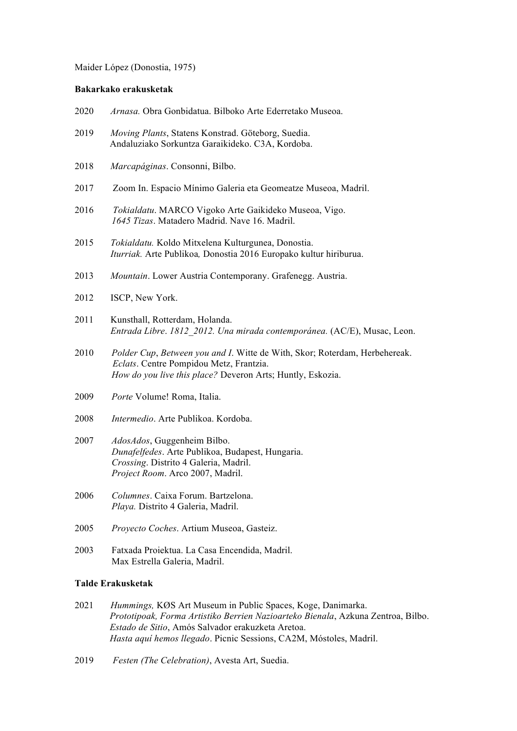Maider López (Donostia, 1975)

## **Bakarkako erakusketak**

|  | 2020 |  |  |  |  | <i>Arnasa</i> . Obra Gonbidatua. Bilboko Arte Ederretako Museoa. |  |
|--|------|--|--|--|--|------------------------------------------------------------------|--|
|--|------|--|--|--|--|------------------------------------------------------------------|--|

- 2019 *Moving Plants*, Statens Konstrad. Göteborg, Suedia. Andaluziako Sorkuntza Garaikideko. C3A, Kordoba.
- 2018 *Marcapáginas*. Consonni, Bilbo.
- 2017 Zoom In. Espacio Mínimo Galeria eta Geomeatze Museoa, Madril.
- 2016 *Tokialdatu*. MARCO Vigoko Arte Gaikideko Museoa, Vigo. *1645 Tizas*. Matadero Madrid. Nave 16. Madril.
- 2015 *Tokialdatu.* Koldo Mitxelena Kulturgunea, Donostia. *Iturriak.* Arte Publikoa*,* Donostia 2016 Europako kultur hiriburua.
- 2013 *Mountain*. Lower Austria Contemporany. Grafenegg. Austria.
- 2012 ISCP, New York.
- 2011 Kunsthall, Rotterdam, Holanda.  *Entrada Libre*. *1812\_2012. Una mirada contemporánea.* (AC/E), Musac, Leon.
- 2010 *Polder Cup*, *Between you and I*. Witte de With, Skor; Roterdam, Herbehereak. *Eclats*. Centre Pompidou Metz, Frantzia.  *How do you live this place?* Deveron Arts; Huntly, Eskozia.
- 2009 *Porte* Volume! Roma, Italia.
- 2008 *Intermedio*. Arte Publikoa. Kordoba.
- 2007 *AdosAdos*, Guggenheim Bilbo.  *Dunafelfedes*. Arte Publikoa, Budapest, Hungaria. *Crossing*. Distrito 4 Galeria, Madril. *Project Room*. Arco 2007, Madril.
- 2006 *Columnes*. Caixa Forum. Bartzelona. *Playa.* Distrito 4 Galeria, Madril.
- 2005 *Proyecto Coches*. Artium Museoa, Gasteiz.
- 2003 Fatxada Proiektua. La Casa Encendida, Madril. Max Estrella Galeria, Madril.

## **Talde Erakusketak**

- 2021 *Hummings,* KØS Art Museum in Public Spaces, Koge, Danimarka.  *Prototipoak, Forma Artistiko Berrien Nazioarteko Bienala*, Azkuna Zentroa, Bilbo.  *Estado de Sitio*, Amós Salvador erakuzketa Aretoa.  *Hasta aquí hemos llegado*. Picnic Sessions, CA2M, Móstoles, Madril.
- 2019 *Festen (The Celebration)*, Avesta Art, Suedia.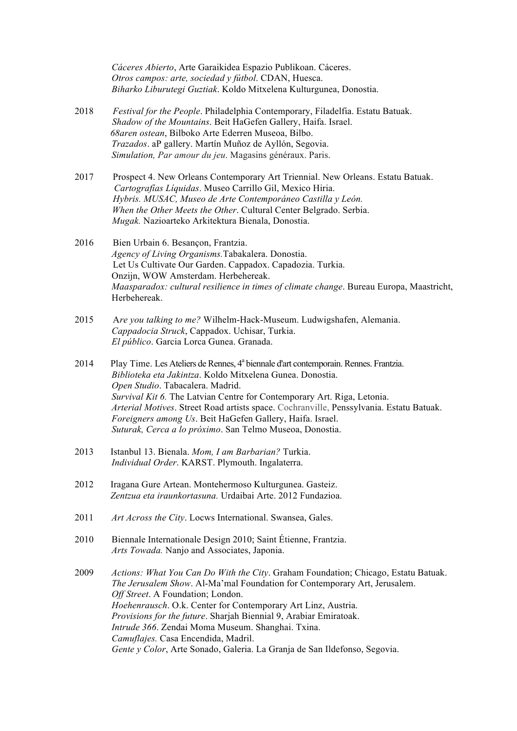*Cáceres Abierto*, Arte Garaikidea Espazio Publikoan. Cáceres. *Otros campos: arte, sociedad y fútbol*. CDAN, Huesca. *Biharko Liburutegi Guztiak*. Koldo Mitxelena Kulturgunea, Donostia.

- 2018 *Festival for the People*. Philadelphia Contemporary, Filadelfia. Estatu Batuak.  *Shadow of the Mountains*. Beit HaGefen Gallery, Haifa. Israel. *68aren ostean*, Bilboko Arte Ederren Museoa, Bilbo. *Trazados*. aP gallery. Martín Muñoz de Ayllón, Segovia. *Simulation, Par amour du jeu*. Magasins généraux. Paris.
- 2017 Prospect 4. New Orleans Contemporary Art Triennial. New Orleans. Estatu Batuak.  *Cartografías Líquidas*. Museo Carrillo Gil, Mexico Hiria. *Hybris. MUSAC, Museo de Arte Contemporáneo Castilla y León. When the Other Meets the Other*. Cultural Center Belgrado. Serbia. *Mugak.* Nazioarteko Arkitektura Bienala, Donostia.
- 2016 Bien Urbain 6. Besançon, Frantzia. *Agency of Living Organisms.*Tabakalera. Donostia. Let Us Cultivate Our Garden. Cappadox. Capadozia. Turkia. Onzijn, WOW Amsterdam. Herbehereak. *Maasparadox: cultural resilience in times of climate change*. Bureau Europa, Maastricht, Herbehereak.
- 2015 A*re you talking to me?* Wilhelm-Hack-Museum. Ludwigshafen, Alemania. *Cappadocia Struck*, Cappadox. Uchisar, Turkia. *El público*. Garcia Lorca Gunea. Granada.
- 2014 Play Time. Les Ateliers de Rennes, 4<sup>ª</sup> biennale d'art contemporain. Rennes. Frantzia. *Biblioteka eta Jakintza*. Koldo Mitxelena Gunea. Donostia. *Open Studio*. Tabacalera. Madrid. *Survival Kit 6.* The Latvian Centre for Contemporary Art. Riga, Letonia. *Arterial Motives*. Street Road artists space. Cochranville, Penssylvania. Estatu Batuak. *Foreigners among Us*. Beit HaGefen Gallery, Haifa. Israel. *Suturak, Cerca a lo próximo*. San Telmo Museoa, Donostia.
- 2013 Istanbul 13. Bienala. *Mom, I am Barbarian?* Turkia. *Individual Order*. KARST. Plymouth. Ingalaterra.
- 2012 Iragana Gure Artean. Montehermoso Kulturgunea. Gasteiz. *Zentzua eta iraunkortasuna.* Urdaibai Arte. 2012 Fundazioa.
- 2011 *Art Across the City*. Locws International. Swansea, Gales.
- 2010 Biennale Internationale Design 2010; Saint Étienne, Frantzia.  *Arts Towada.* Nanjo and Associates, Japonia.
- 2009 *Actions: What You Can Do With the City*. Graham Foundation; Chicago, Estatu Batuak. *The Jerusalem Show*. Al-Ma'mal Foundation for Contemporary Art, Jerusalem. *Off Street*. A Foundation; London. *Hoehenrausch*. O.k. Center for Contemporary Art Linz, Austria. *Provisions for the future*. Sharjah Biennial 9, Arabiar Emiratoak. *Intrude 366*. Zendai Moma Museum. Shanghai. Txina. *Camuflajes.* Casa Encendida, Madril. *Gente y Color*, Arte Sonado, Galeria. La Granja de San Ildefonso, Segovia.